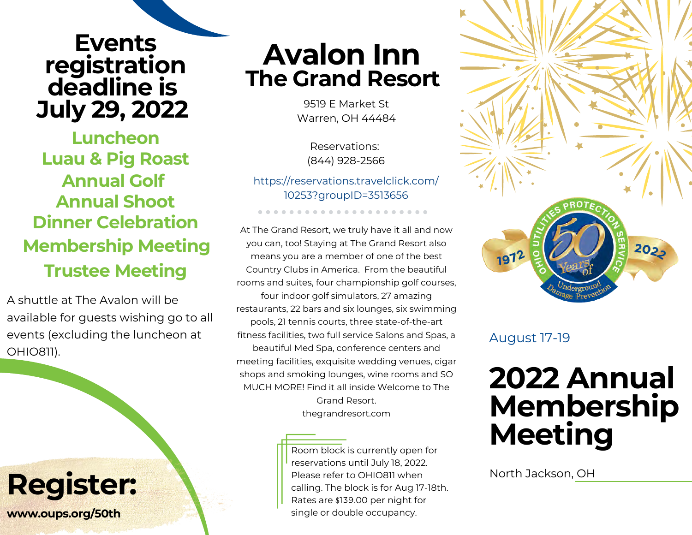## **Events registration deadline is July 29, 2022**

**Annual Golf Annual Shoot Luau & Pig Roast Luncheon Dinner Celebration Membership Meeting Trustee Meeting**

A shuttle at The Avalon will be available for guests wishing go to all events (excluding the luncheon at OHIO811).

## **Register:**

**www.oups.org/50th**

## **Avalon Inn The Grand Resort**

9519 E Market St Warren, OH 44484

Reservations: (844) 928-2566

[https://reservations.travelclick.com/](https://reservations.travelclick.com/10253?groupID=3513656) [10253?groupID=3513656](https://reservations.travelclick.com/10253?groupID=3513656)

At The Grand Resort, we truly have it all and now you can, too! Staying at The Grand Resort also means you are a member of one of the best Country Clubs in America. From the beautiful rooms and suites, four championship golf courses, four indoor golf simulators, 27 amazing restaurants, 22 bars and six lounges, six swimming pools, 21 tennis courts, three state-of-the-art fitness facilities, two full service Salons and Spas, a beautiful Med Spa, conference centers and meeting facilities, exquisite wedding venues, cigar shops and smoking lounges, wine rooms and SO MUCH MORE! Find it all inside Welcome to The Grand Resort. thegrandresort.com

> Room block is currently open for reservations until July 18, 2022. Please refer to OHIO811 when calling. The block is for Aug 17-18th. Rates are \$139.00 per night for single or double occupancy.



#### August 17-19

# **2022 Annual Membership Meeting**

North Jackson, OH